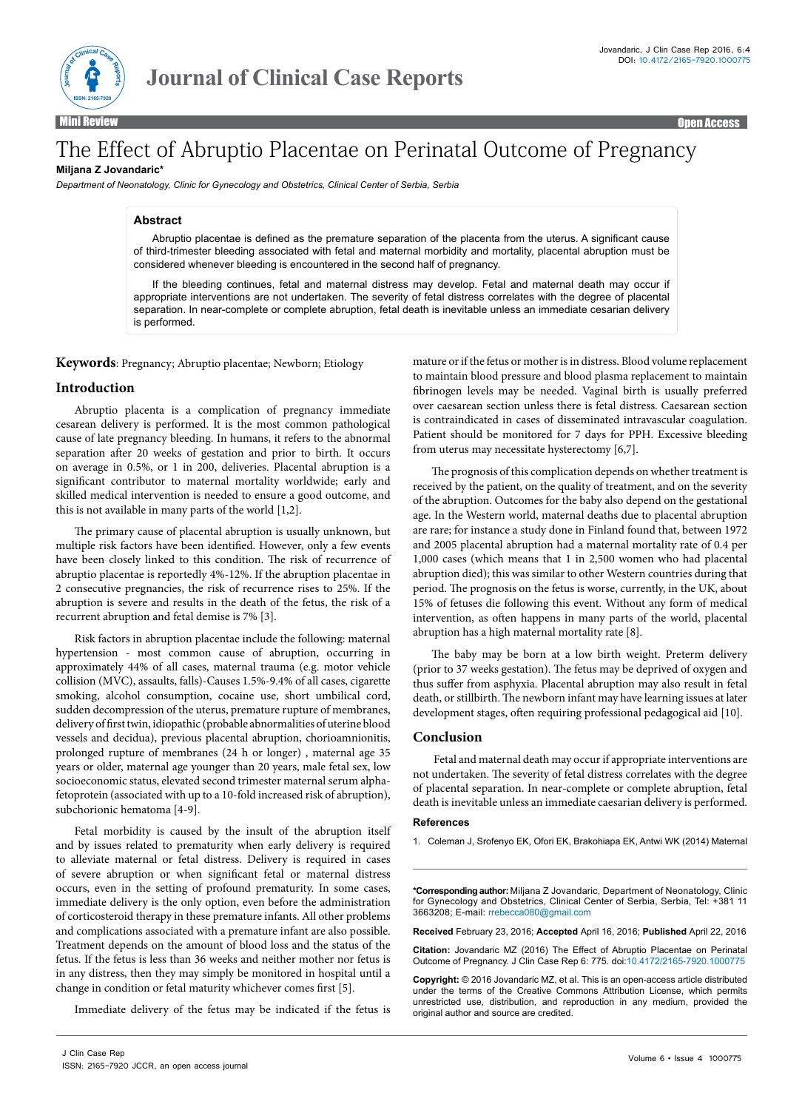

Mini Review Open Access

# The Effect of Abruptio Placentae on Perinatal Outcome of Pregnancy **Miljana Z Jovandaric\***

*Department of Neonatology, Clinic for Gynecology and Obstetrics, Clinical Center of Serbia, Serbia*

# **Abstract**

Abruptio placentae is defined as the premature separation of the placenta from the uterus. A significant cause of third-trimester bleeding associated with fetal and maternal morbidity and mortality, placental abruption must be considered whenever bleeding is encountered in the second half of pregnancy.

If the bleeding continues, fetal and maternal distress may develop. Fetal and maternal death may occur if appropriate interventions are not undertaken. The severity of fetal distress correlates with the degree of placental separation. In near-complete or complete abruption, fetal death is inevitable unless an immediate cesarian delivery is performed.

**Keywords**: Pregnancy; Abruptio placentae; Newborn; Etiology

### **Introduction**

Abruptio placenta is a complication of pregnancy immediate cesarean delivery is performed. It is the most common pathological cause of late pregnancy bleeding. In humans, it refers to the abnormal separation after 20 weeks of gestation and prior to birth. It occurs on average in 0.5%, or 1 in 200, deliveries. Placental abruption is a significant contributor to maternal mortality worldwide; early and skilled medical intervention is needed to ensure a good outcome, and this is not available in many parts of the world [1,2].

The primary cause of placental abruption is usually unknown, but multiple risk factors have been identified. However, only a few events have been closely linked to this condition. The risk of recurrence of abruptio placentae is reportedly 4%-12%. If the abruption placentae in 2 consecutive pregnancies, the risk of recurrence rises to 25%. If the abruption is severe and results in the death of the fetus, the risk of a recurrent abruption and fetal demise is 7% [3].

Risk factors in abruption placentae include the following: maternal hypertension - most common cause of abruption, occurring in approximately 44% of all cases, maternal trauma (e.g. motor vehicle collision (MVC), assaults, falls)-Causes 1.5%-9.4% of all cases, cigarette smoking, alcohol consumption, cocaine use, short umbilical cord, sudden decompression of the uterus, premature rupture of membranes, delivery of first twin, idiopathic (probable abnormalities of uterine blood vessels and decidua), previous placental abruption, chorioamnionitis, prolonged rupture of membranes (24 h or longer) , maternal age 35 years or older, maternal age younger than 20 years, male fetal sex, low socioeconomic status, elevated second trimester maternal serum alphafetoprotein (associated with up to a 10-fold increased risk of abruption), subchorionic hematoma [4-9].

Fetal morbidity is caused by the insult of the abruption itself and by issues related to prematurity when early delivery is required to alleviate maternal or fetal distress. Delivery is required in cases of severe abruption or when significant fetal or maternal distress occurs, even in the setting of profound prematurity. In some cases, immediate delivery is the only option, even before the administration of corticosteroid therapy in these premature infants. All other problems and complications associated with a premature infant are also possible. Treatment depends on the amount of blood loss and the status of the fetus. If the fetus is less than 36 weeks and neither mother nor fetus is in any distress, then they may simply be monitored in hospital until a change in condition or fetal maturity whichever comes first [5].

Immediate delivery of the fetus may be indicated if the fetus is

mature or if the fetus or mother is in distress. Blood volume replacement to maintain blood pressure and blood plasma replacement to maintain fibrinogen levels may be needed. Vaginal birth is usually preferred over caesarean section unless there is fetal distress. Caesarean section is contraindicated in cases of disseminated intravascular coagulation. Patient should be monitored for 7 days for PPH. Excessive bleeding from uterus may necessitate hysterectomy [6,7].

The prognosis of this complication depends on whether treatment is received by the patient, on the quality of treatment, and on the severity of the abruption. Outcomes for the baby also depend on the gestational age. In the Western world, maternal deaths due to placental abruption are rare; for instance a study done in Finland found that, between 1972 and 2005 placental abruption had a maternal mortality rate of 0.4 per 1,000 cases (which means that 1 in 2,500 women who had placental abruption died); this was similar to other Western countries during that period. The prognosis on the fetus is worse, currently, in the UK, about 15% of fetuses die following this event. Without any form of medical intervention, as often happens in many parts of the world, placental abruption has a high maternal mortality rate [8].

The baby may be born at a low birth weight. Preterm delivery (prior to 37 weeks gestation). The fetus may be deprived of oxygen and thus suffer from asphyxia. Placental abruption may also result in fetal death, or stillbirth. The newborn infant may have learning issues at later development stages, often requiring professional pedagogical aid [10].

# **Conclusion**

 Fetal and maternal death may occur if appropriate interventions are not undertaken. The severity of fetal distress correlates with the degree of placental separation. In near-complete or complete abruption, fetal death is inevitable unless an immediate caesarian delivery is performed.

#### **References**

1. [Coleman J, Srofenyo EK, Ofori EK, Brakohiapa EK, Antwi WK \(2014\) Maternal](http://www.ncbi.nlm.nih.gov/pubmed/25854099) 

**\*Corresponding author:** Miljana Z Jovandaric, Department of Neonatology, Clinic for Gynecology and Obstetrics, Clinical Center of Serbia, Serbia, Tel: +381 11 3663208; E-mail: rrebecca080@gmail.com

**Received** February 23, 2016; **Accepted** April 16, 2016; **Published** April 22, 2016

**Citation:** Jovandaric MZ (2016) The Effect of Abruptio Placentae on Perinatal Outcome of Pregnancy. J Clin Case Rep 6: 775. doi:10.4172/2165-7920.1000775

**Copyright:** © 2016 Jovandaric MZ, et al. This is an open-access article distributed under the terms of the Creative Commons Attribution License, which permits unrestricted use, distribution, and reproduction in any medium, provided the original author and source are credited.